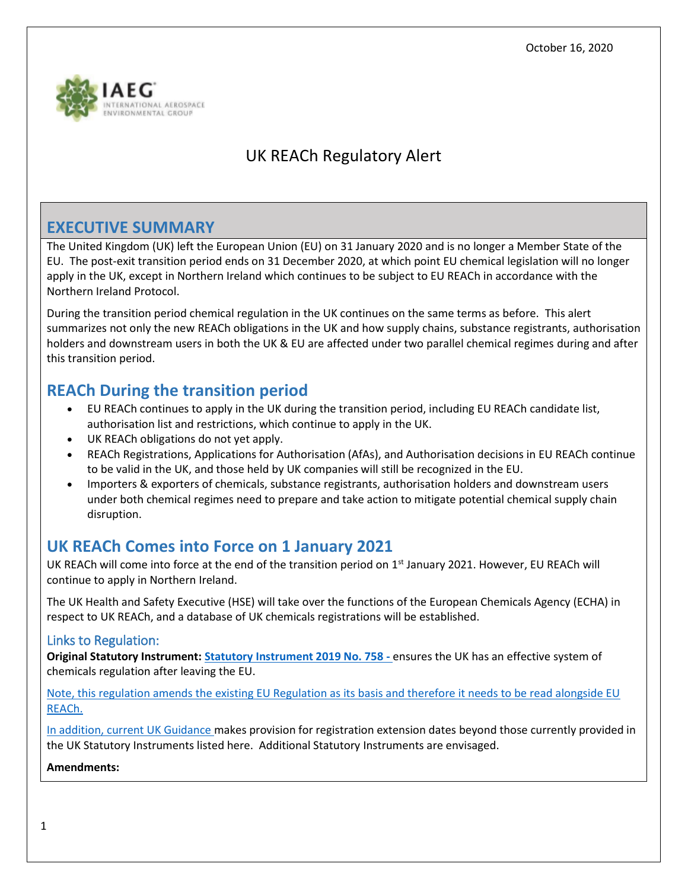

# UK REACh Regulatory Alert

### **EXECUTIVE SUMMARY**

The United Kingdom (UK) left the European Union (EU) on 31 January 2020 and is no longer a Member State of the EU. The post-exit transition period ends on 31 December 2020, at which point EU chemical legislation will no longer apply in the UK, except in Northern Ireland which continues to be subject to EU REACh in accordance with the Northern Ireland Protocol.

During the transition period chemical regulation in the UK continues on the same terms as before. This alert summarizes not only the new REACh obligations in the UK and how supply chains, substance registrants, authorisation holders and downstream users in both the UK & EU are affected under two parallel chemical regimes during and after this transition period.

### **REACh During the transition period**

- EU REACh continues to apply in the UK during the transition period, including EU REACh candidate list, authorisation list and restrictions, which continue to apply in the UK.
- UK REACh obligations do not yet apply.
- REACh Registrations, Applications for Authorisation (AfAs), and Authorisation decisions in EU REACh continue to be valid in the UK, and those held by UK companies will still be recognized in the EU.
- Importers & exporters of chemicals, substance registrants, authorisation holders and downstream users under both chemical regimes need to prepare and take action to mitigate potential chemical supply chain disruption.

## **UK REACh Comes into Force on 1 January 2021**

UK REACh will come into force at the end of the transition period on 1<sup>st</sup> January 2021. However, EU REACh will continue to apply in Northern Ireland.

The UK Health and Safety Executive (HSE) will take over the functions of the European Chemicals Agency (ECHA) in respect to UK REACh, and a database of UK chemicals registrations will be established.

### Links to Regulation:

**Original Statutory Instrument: [Statutory Instrument 2019 No. 758](http://www.legislation.gov.uk/uksi/2019/758/made/data.pdf) -** ensures the UK has an effective system of chemicals regulation after leaving the EU.

Note, this regulation amends the existing EU Regulation as its basis and therefore it needs to be read alongside EU REACh.

In addition, current UK Guidance makes provision for registration extension dates beyond those currently provided in the UK Statutory Instruments listed here. Additional Statutory Instruments are envisaged.

#### **Amendments:**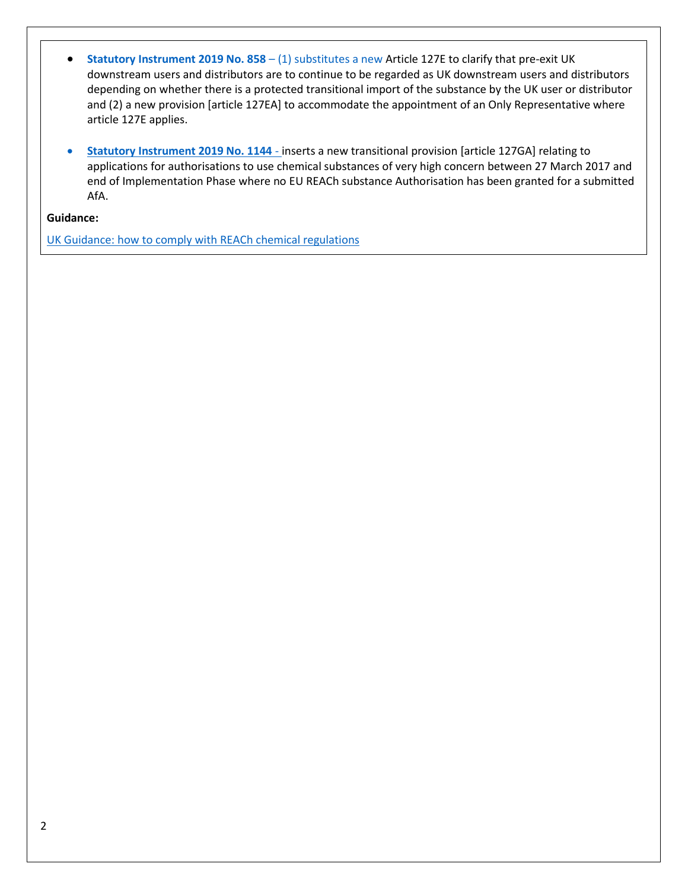- **[Statutory Instrument 2019 No. 858](http://www.legislation.gov.uk/uksi/2019/858/made/data.pdf)** (1) substitutes a new Article 127E to clarify that pre-exit UK downstream users and distributors are to continue to be regarded as UK downstream users and distributors depending on whether there is a protected transitional import of the substance by the UK user or distributor and (2) a new provision [article 127EA] to accommodate the appointment of an Only Representative where article 127E applies.
- **[Statutory Instrument 2019 No. 1144](http://www.legislation.gov.uk/uksi/2019/1144/made/data.pdf)** inserts a new transitional provision [article 127GA] relating to applications for authorisations to use chemical substances of very high concern between 27 March 2017 and end of Implementation Phase where no EU REACh substance Authorisation has been granted for a submitted AfA.

**Guidance:**

[UK Guidance: how to comply with REACh](https://www.gov.uk/guidance/how-to-comply-with-reach-chemical-regulations) chemical regulations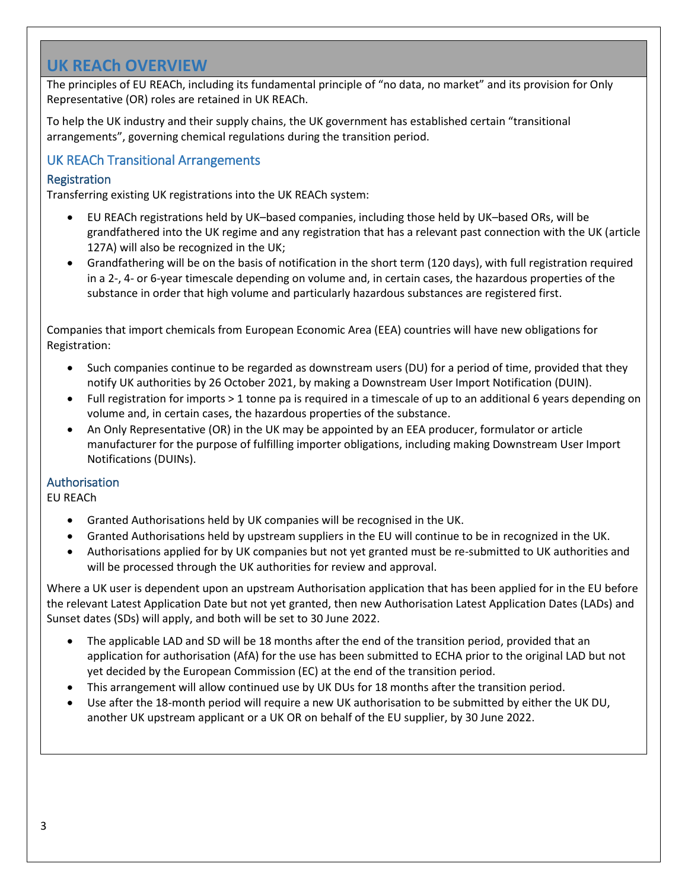### **UK REACh OVERVIEW**

The principles of EU REACh, including its fundamental principle of "no data, no market" and its provision for Only Representative (OR) roles are retained in UK REACh.

To help the UK industry and their supply chains, the UK government has established certain "transitional arrangements", governing chemical regulations during the transition period.

### UK REACh Transitional Arrangements

### Registration

Transferring existing UK registrations into the UK REACh system:

- EU REACh registrations held by UK–based companies, including those held by UK–based ORs, will be grandfathered into the UK regime and any registration that has a relevant past connection with the UK (article 127A) will also be recognized in the UK;
- Grandfathering will be on the basis of notification in the short term (120 days), with full registration required in a 2-, 4- or 6-year timescale depending on volume and, in certain cases, the hazardous properties of the substance in order that high volume and particularly hazardous substances are registered first.

Companies that import chemicals from European Economic Area (EEA) countries will have new obligations for Registration:

- Such companies continue to be regarded as downstream users (DU) for a period of time, provided that they notify UK authorities by 26 October 2021, by making a Downstream User Import Notification (DUIN).
- Full registration for imports > 1 tonne pa is required in a timescale of up to an additional 6 years depending on volume and, in certain cases, the hazardous properties of the substance.
- An Only Representative (OR) in the UK may be appointed by an EEA producer, formulator or article manufacturer for the purpose of fulfilling importer obligations, including making Downstream User Import Notifications (DUINs).

#### Authorisation

EU REACh

- Granted Authorisations held by UK companies will be recognised in the UK.
- Granted Authorisations held by upstream suppliers in the EU will continue to be in recognized in the UK.
- Authorisations applied for by UK companies but not yet granted must be re-submitted to UK authorities and will be processed through the UK authorities for review and approval.

Where a UK user is dependent upon an upstream Authorisation application that has been applied for in the EU before the relevant Latest Application Date but not yet granted, then new Authorisation Latest Application Dates (LADs) and Sunset dates (SDs) will apply, and both will be set to 30 June 2022.

- The applicable LAD and SD will be 18 months after the end of the transition period, provided that an application for authorisation (AfA) for the use has been submitted to ECHA prior to the original LAD but not yet decided by the European Commission (EC) at the end of the transition period.
- This arrangement will allow continued use by UK DUs for 18 months after the transition period.
- Use after the 18-month period will require a new UK authorisation to be submitted by either the UK DU, another UK upstream applicant or a UK OR on behalf of the EU supplier, by 30 June 2022.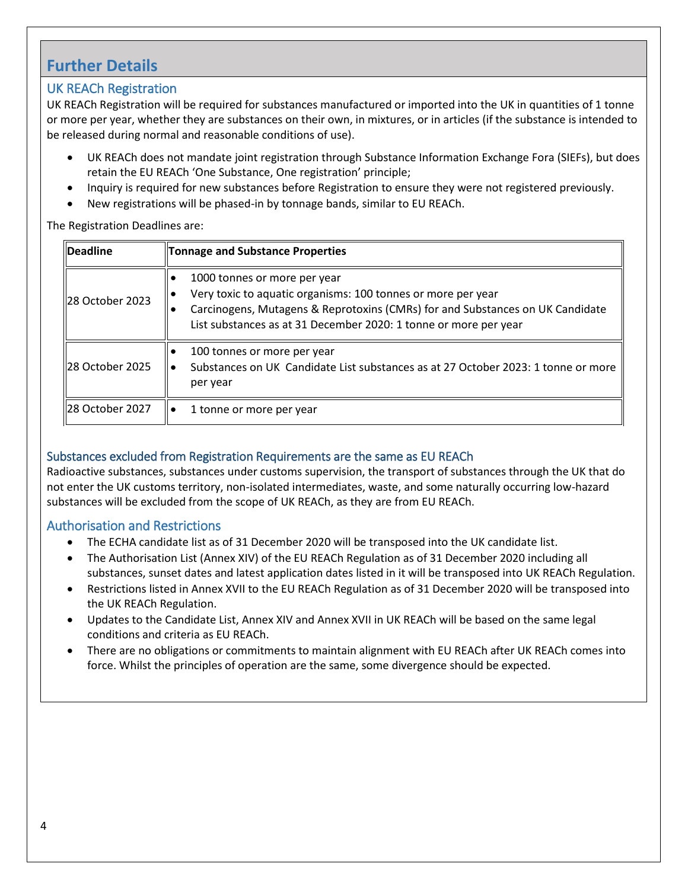### **Further Details**

### UK REACh Registration

UK REACh Registration will be required for substances manufactured or imported into the UK in quantities of 1 tonne or more per year, whether they are substances on their own, in mixtures, or in articles (if the substance is intended to be released during normal and reasonable conditions of use).

- UK REACh does not mandate joint registration through Substance Information Exchange Fora (SIEFs), but does retain the EU REACh 'One Substance, One registration' principle;
- Inquiry is required for new substances before Registration to ensure they were not registered previously.
- New registrations will be phased-in by tonnage bands, similar to EU REACh.

#### The Registration Deadlines are:

| <b>Deadline</b> | Tonnage and Substance Properties                                                                                                                                                                                                                  |
|-----------------|---------------------------------------------------------------------------------------------------------------------------------------------------------------------------------------------------------------------------------------------------|
| 28 October 2023 | 1000 tonnes or more per year<br>Very toxic to aquatic organisms: 100 tonnes or more per year<br>Carcinogens, Mutagens & Reprotoxins (CMRs) for and Substances on UK Candidate<br>List substances as at 31 December 2020: 1 tonne or more per year |
| 28 October 2025 | 100 tonnes or more per year<br>Substances on UK Candidate List substances as at 27 October 2023: 1 tonne or more<br>per year                                                                                                                      |
| 28 October 2027 | 1 tonne or more per year                                                                                                                                                                                                                          |

### Substances excluded from Registration Requirements are the same as EU REACh

Radioactive substances, substances under customs supervision, the transport of substances through the UK that do not enter the UK customs territory, non-isolated intermediates, waste, and some naturally occurring low-hazard substances will be excluded from the scope of UK REACh, as they are from EU REACh.

### Authorisation and Restrictions

- The ECHA candidate list as of 31 December 2020 will be transposed into the UK candidate list.
- The Authorisation List (Annex XIV) of the EU REACh Regulation as of 31 December 2020 including all substances, sunset dates and latest application dates listed in it will be transposed into UK REACh Regulation.
- Restrictions listed in Annex XVII to the EU REACh Regulation as of 31 December 2020 will be transposed into the UK REACh Regulation.
- Updates to the Candidate List, Annex XIV and Annex XVII in UK REACh will be based on the same legal conditions and criteria as EU REACh.
- There are no obligations or commitments to maintain alignment with EU REACh after UK REACh comes into force. Whilst the principles of operation are the same, some divergence should be expected.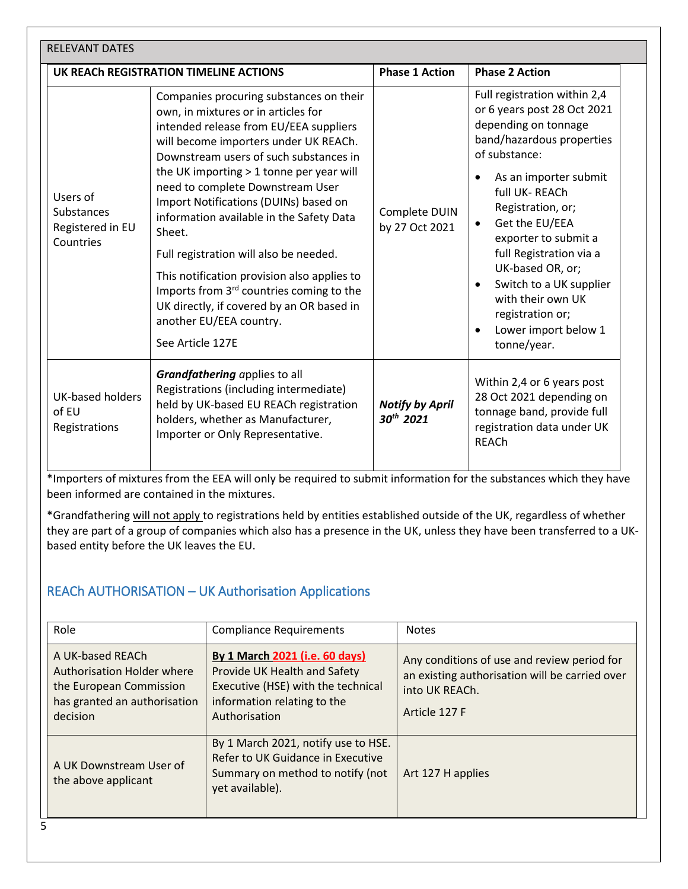| <b>RELEVANT DATES</b>                                          |                                                                                                                                                                                                                                                                                                                                                                                                                                                                                                                                                                                                                                         |                                                 |                                                                                                                                                                                                                                                                                                                                                                                                                                             |  |  |  |
|----------------------------------------------------------------|-----------------------------------------------------------------------------------------------------------------------------------------------------------------------------------------------------------------------------------------------------------------------------------------------------------------------------------------------------------------------------------------------------------------------------------------------------------------------------------------------------------------------------------------------------------------------------------------------------------------------------------------|-------------------------------------------------|---------------------------------------------------------------------------------------------------------------------------------------------------------------------------------------------------------------------------------------------------------------------------------------------------------------------------------------------------------------------------------------------------------------------------------------------|--|--|--|
|                                                                | UK REACH REGISTRATION TIMELINE ACTIONS                                                                                                                                                                                                                                                                                                                                                                                                                                                                                                                                                                                                  | <b>Phase 1 Action</b>                           | <b>Phase 2 Action</b>                                                                                                                                                                                                                                                                                                                                                                                                                       |  |  |  |
| Users of<br><b>Substances</b><br>Registered in EU<br>Countries | Companies procuring substances on their<br>own, in mixtures or in articles for<br>intended release from EU/EEA suppliers<br>will become importers under UK REACh.<br>Downstream users of such substances in<br>the UK importing > 1 tonne per year will<br>need to complete Downstream User<br>Import Notifications (DUINs) based on<br>information available in the Safety Data<br>Sheet.<br>Full registration will also be needed.<br>This notification provision also applies to<br>Imports from 3 <sup>rd</sup> countries coming to the<br>UK directly, if covered by an OR based in<br>another EU/EEA country.<br>See Article 127E | Complete DUIN<br>by 27 Oct 2021                 | Full registration within 2,4<br>or 6 years post 28 Oct 2021<br>depending on tonnage<br>band/hazardous properties<br>of substance:<br>As an importer submit<br>full UK-REACh<br>Registration, or;<br>Get the EU/EEA<br>$\bullet$<br>exporter to submit a<br>full Registration via a<br>UK-based OR, or;<br>Switch to a UK supplier<br>$\bullet$<br>with their own UK<br>registration or;<br>Lower import below 1<br>$\bullet$<br>tonne/year. |  |  |  |
| <b>UK-based holders</b><br>of EU<br>Registrations              | Grandfathering applies to all<br>Registrations (including intermediate)<br>held by UK-based EU REACh registration<br>holders, whether as Manufacturer,<br>Importer or Only Representative.                                                                                                                                                                                                                                                                                                                                                                                                                                              | <b>Notify by April</b><br>30 <sup>th</sup> 2021 | Within 2,4 or 6 years post<br>28 Oct 2021 depending on<br>tonnage band, provide full<br>registration data under UK<br><b>REACh</b>                                                                                                                                                                                                                                                                                                          |  |  |  |

\*Importers of mixtures from the EEA will only be required to submit information for the substances which they have been informed are contained in the mixtures.

\*Grandfathering will not apply to registrations held by entities established outside of the UK, regardless of whether they are part of a group of companies which also has a presence in the UK, unless they have been transferred to a UKbased entity before the UK leaves the EU.

### REACh AUTHORISATION – UK Authorisation Applications

| Role                                                                                                                  | <b>Compliance Requirements</b>                                                                                                                       | <b>Notes</b>                                                                                                                     |
|-----------------------------------------------------------------------------------------------------------------------|------------------------------------------------------------------------------------------------------------------------------------------------------|----------------------------------------------------------------------------------------------------------------------------------|
| A UK-based REACh<br>Authorisation Holder where<br>the European Commission<br>has granted an authorisation<br>decision | By 1 March 2021 (i.e. 60 days)<br>Provide UK Health and Safety<br>Executive (HSE) with the technical<br>information relating to the<br>Authorisation | Any conditions of use and review period for<br>an existing authorisation will be carried over<br>into UK REACh.<br>Article 127 F |
| A UK Downstream User of<br>the above applicant                                                                        | By 1 March 2021, notify use to HSE.<br>Refer to UK Guidance in Executive<br>Summary on method to notify (not<br>yet available).                      | Art 127 H applies                                                                                                                |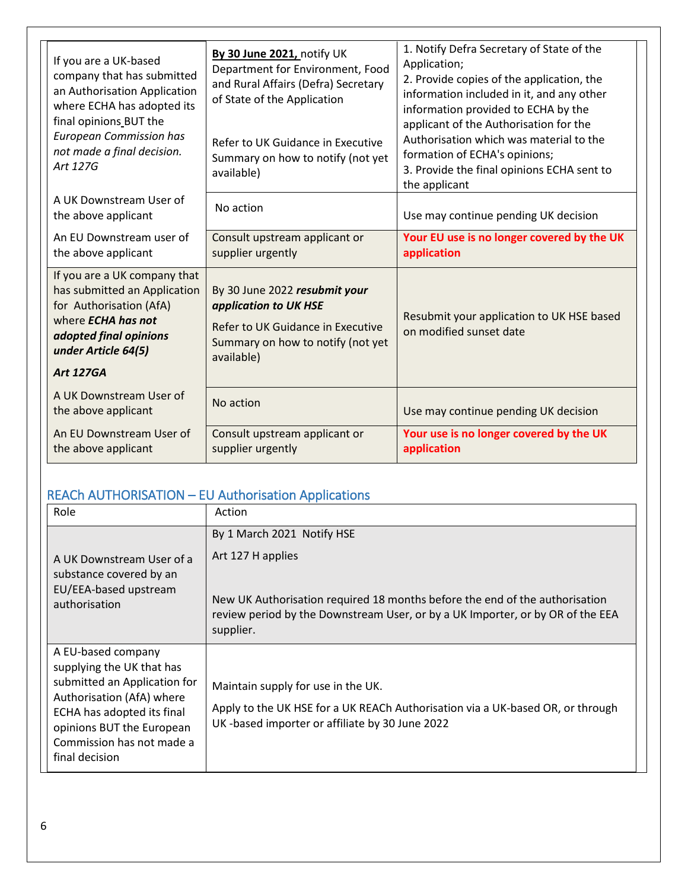| If you are a UK-based<br>company that has submitted<br>an Authorisation Application<br>where ECHA has adopted its<br>final opinions BUT the<br><b>European Commission has</b><br>not made a final decision.<br>Art 127G | By 30 June 2021, notify UK<br>Department for Environment, Food<br>and Rural Affairs (Defra) Secretary<br>of State of the Application<br>Refer to UK Guidance in Executive<br>Summary on how to notify (not yet<br>available) | 1. Notify Defra Secretary of State of the<br>Application;<br>2. Provide copies of the application, the<br>information included in it, and any other<br>information provided to ECHA by the<br>applicant of the Authorisation for the<br>Authorisation which was material to the<br>formation of ECHA's opinions;<br>3. Provide the final opinions ECHA sent to<br>the applicant |
|-------------------------------------------------------------------------------------------------------------------------------------------------------------------------------------------------------------------------|------------------------------------------------------------------------------------------------------------------------------------------------------------------------------------------------------------------------------|---------------------------------------------------------------------------------------------------------------------------------------------------------------------------------------------------------------------------------------------------------------------------------------------------------------------------------------------------------------------------------|
| A UK Downstream User of<br>the above applicant                                                                                                                                                                          | No action                                                                                                                                                                                                                    | Use may continue pending UK decision                                                                                                                                                                                                                                                                                                                                            |
| An EU Downstream user of<br>the above applicant                                                                                                                                                                         | Consult upstream applicant or<br>supplier urgently                                                                                                                                                                           | Your EU use is no longer covered by the UK<br>application                                                                                                                                                                                                                                                                                                                       |
| If you are a UK company that<br>has submitted an Application<br>for Authorisation (AfA)<br>where <b>ECHA has not</b><br>adopted final opinions<br>under Article 64(5)<br><b>Art 127GA</b>                               | By 30 June 2022 resubmit your<br>application to UK HSE<br>Refer to UK Guidance in Executive<br>Summary on how to notify (not yet<br>available)                                                                               | Resubmit your application to UK HSE based<br>on modified sunset date                                                                                                                                                                                                                                                                                                            |
| A UK Downstream User of<br>the above applicant                                                                                                                                                                          | No action                                                                                                                                                                                                                    | Use may continue pending UK decision                                                                                                                                                                                                                                                                                                                                            |
| An EU Downstream User of<br>the above applicant                                                                                                                                                                         | Consult upstream applicant or<br>supplier urgently                                                                                                                                                                           | Your use is no longer covered by the UK<br>application                                                                                                                                                                                                                                                                                                                          |

# REACh AUTHORISATION – EU Authorisation Applications

| Role                                                                                                                                                                                                                   | Action                                                                                                                                                                                                                        |
|------------------------------------------------------------------------------------------------------------------------------------------------------------------------------------------------------------------------|-------------------------------------------------------------------------------------------------------------------------------------------------------------------------------------------------------------------------------|
| A UK Downstream User of a<br>substance covered by an<br>EU/EEA-based upstream<br>authorisation                                                                                                                         | By 1 March 2021 Notify HSE<br>Art 127 H applies<br>New UK Authorisation required 18 months before the end of the authorisation<br>review period by the Downstream User, or by a UK Importer, or by OR of the EEA<br>supplier. |
| A EU-based company<br>supplying the UK that has<br>submitted an Application for<br>Authorisation (AfA) where<br>ECHA has adopted its final<br>opinions BUT the European<br>Commission has not made a<br>final decision | Maintain supply for use in the UK.<br>Apply to the UK HSE for a UK REACh Authorisation via a UK-based OR, or through<br>UK-based importer or affiliate by 30 June 2022                                                        |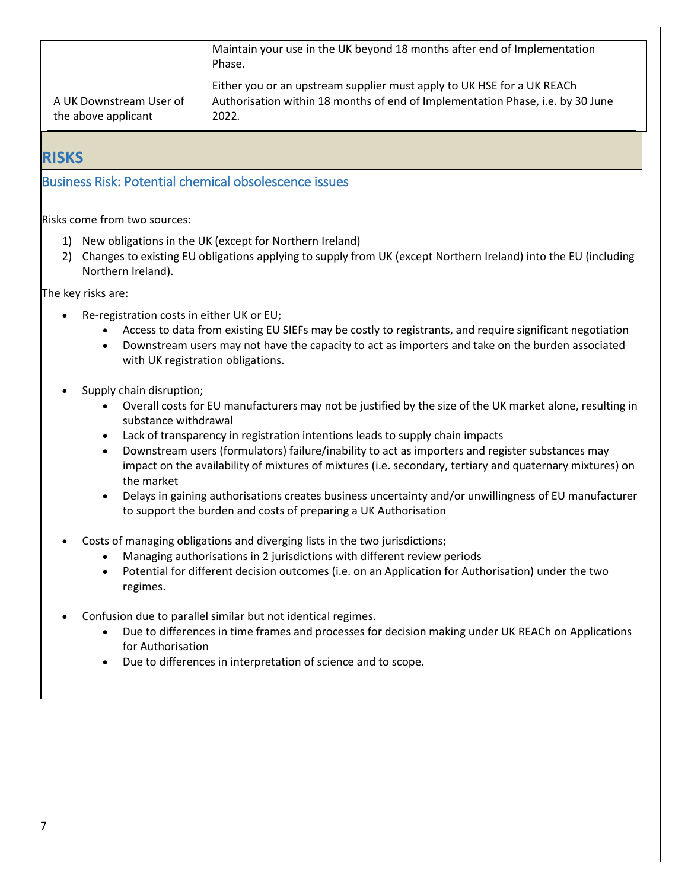|                                                | Maintain your use in the UK beyond 18 months after end of Implementation<br>Phase.                                                                                |  |
|------------------------------------------------|-------------------------------------------------------------------------------------------------------------------------------------------------------------------|--|
| A UK Downstream User of<br>the above applicant | Either you or an upstream supplier must apply to UK HSE for a UK REACh<br>Authorisation within 18 months of end of Implementation Phase, i.e. by 30 June<br>2022. |  |

**RISKS**

### Business Risk: Potential chemical obsolescence issues

Risks come from two sources:

- 1) New obligations in the UK (except for Northern Ireland)
- 2) Changes to existing EU obligations applying to supply from UK (except Northern Ireland) into the EU (including Northern Ireland).

The key risks are:

- Re-registration costs in either UK or EU;
	- Access to data from existing EU SIEFs may be costly to registrants, and require significant negotiation
	- Downstream users may not have the capacity to act as importers and take on the burden associated with UK registration obligations.
- Supply chain disruption;
	- Overall costs for EU manufacturers may not be justified by the size of the UK market alone, resulting in substance withdrawal
	- Lack of transparency in registration intentions leads to supply chain impacts
	- Downstream users (formulators) failure/inability to act as importers and register substances may impact on the availability of mixtures of mixtures (i.e. secondary, tertiary and quaternary mixtures) on the market
	- Delays in gaining authorisations creates business uncertainty and/or unwillingness of EU manufacturer to support the burden and costs of preparing a UK Authorisation
- Costs of managing obligations and diverging lists in the two jurisdictions;
	- Managing authorisations in 2 jurisdictions with different review periods
	- Potential for different decision outcomes (i.e. on an Application for Authorisation) under the two regimes.
- Confusion due to parallel similar but not identical regimes.
	- Due to differences in time frames and processes for decision making under UK REACh on Applications for Authorisation
	- Due to differences in interpretation of science and to scope.